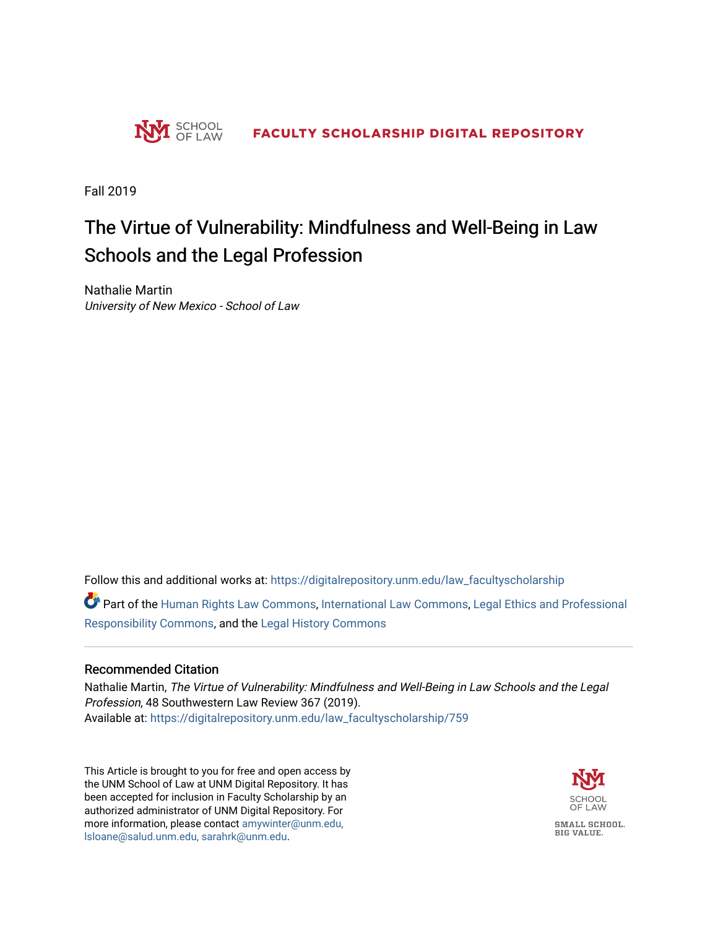

Fall 2019

# The Virtue of Vulnerability: Mindfulness and Well-Being in Law Schools and the Legal Profession

Nathalie Martin University of New Mexico - School of Law

Follow this and additional works at: [https://digitalrepository.unm.edu/law\\_facultyscholarship](https://digitalrepository.unm.edu/law_facultyscholarship?utm_source=digitalrepository.unm.edu%2Flaw_facultyscholarship%2F759&utm_medium=PDF&utm_campaign=PDFCoverPages) 

Part of the [Human Rights Law Commons,](http://network.bepress.com/hgg/discipline/847?utm_source=digitalrepository.unm.edu%2Flaw_facultyscholarship%2F759&utm_medium=PDF&utm_campaign=PDFCoverPages) [International Law Commons](http://network.bepress.com/hgg/discipline/609?utm_source=digitalrepository.unm.edu%2Flaw_facultyscholarship%2F759&utm_medium=PDF&utm_campaign=PDFCoverPages), [Legal Ethics and Professional](http://network.bepress.com/hgg/discipline/895?utm_source=digitalrepository.unm.edu%2Flaw_facultyscholarship%2F759&utm_medium=PDF&utm_campaign=PDFCoverPages)  [Responsibility Commons,](http://network.bepress.com/hgg/discipline/895?utm_source=digitalrepository.unm.edu%2Flaw_facultyscholarship%2F759&utm_medium=PDF&utm_campaign=PDFCoverPages) and the [Legal History Commons](http://network.bepress.com/hgg/discipline/904?utm_source=digitalrepository.unm.edu%2Flaw_facultyscholarship%2F759&utm_medium=PDF&utm_campaign=PDFCoverPages) 

## Recommended Citation

Nathalie Martin, The Virtue of Vulnerability: Mindfulness and Well-Being in Law Schools and the Legal Profession, 48 Southwestern Law Review 367 (2019). Available at: [https://digitalrepository.unm.edu/law\\_facultyscholarship/759](https://digitalrepository.unm.edu/law_facultyscholarship/759?utm_source=digitalrepository.unm.edu%2Flaw_facultyscholarship%2F759&utm_medium=PDF&utm_campaign=PDFCoverPages) 

This Article is brought to you for free and open access by the UNM School of Law at UNM Digital Repository. It has been accepted for inclusion in Faculty Scholarship by an authorized administrator of UNM Digital Repository. For more information, please contact [amywinter@unm.edu,](mailto:amywinter@unm.edu,%20lsloane@salud.unm.edu,%20sarahrk@unm.edu)  [lsloane@salud.unm.edu, sarahrk@unm.edu.](mailto:amywinter@unm.edu,%20lsloane@salud.unm.edu,%20sarahrk@unm.edu)



SMALL SCHOOL. **BIG VALUE.**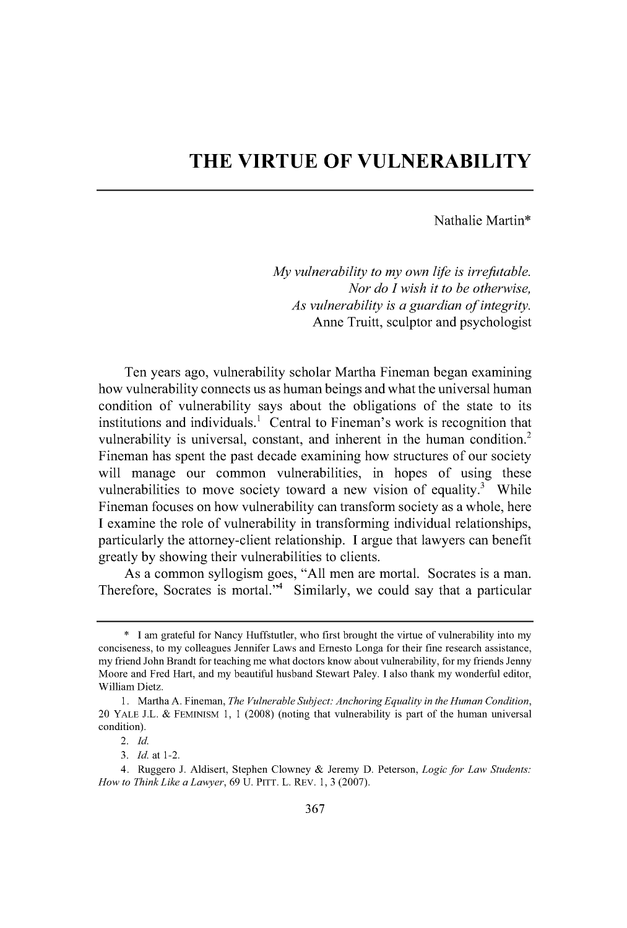# **THE VIRTUE OF VULNERABILITY**

#### Nathalie Martin\*

*My vulnerability to my own life is irrefutable. Nor do I wish it to be otherwise, As vulnerability is a guardian of integrity.* Anne Truitt, sculptor and psychologist

Ten years ago, vulnerability scholar Martha Fineman began examining how vulnerability connects us as human beings and what the universal human condition of vulnerability says about the obligations of the state to its institutions and individuals.<sup>1</sup> Central to Fineman's work is recognition that vulnerability is universal, constant, and inherent in the human condition.<sup>2</sup> Fineman has spent the past decade examining how structures of our society will manage our common vulnerabilities, in hopes of using these vulnerabilities to move society toward a new vision of equality.<sup>3</sup> While Fineman focuses on how vulnerability can transform society as a whole, here **<sup>I</sup>**examine the role of vulnerability in transforming individual relationships, particularly the attorney-client relationship. **I** argue that lawyers can benefit greatly **by** showing their vulnerabilities to clients.

As a common syllogism goes, **"All** men are mortal. Socrates is a man. Therefore, Socrates is mortal.<sup>34</sup> Similarly, we could say that a particular

**<sup>\*</sup> I** am grateful for Nancy Huffstutler, who first brought the virtue of vulnerability into my conciseness, to my colleagues Jennifer Laws and Ernesto Longa for their fine research assistance, my friend John Brandt for teaching me what doctors know about vulnerability, for my friends Jenny Moore and Fred Hart, and my beautiful husband Stewart Paley. **I** also thank my wonderful editor, William Dietz.

**<sup>1.</sup>** Martha **A.** Fineman, *The Vulnerable Subject: Anchoring Equality in the Human Condition,* 20 **YALE J.L. & FEMINISM 1, 1 (2008)** (noting that vulnerability is part of the human universal condition).

*<sup>2.</sup> Id.*

*<sup>3.</sup> Id.* at 1-2.

<sup>4.</sup> Ruggero **J.** Aldisert, Stephen Clowney **&** Jeremy **D.** Peterson, *Logic for Law Students: How to Think Like a Lawyer, 69* **U. PITT.** L. REV. **1, 3 (2007).**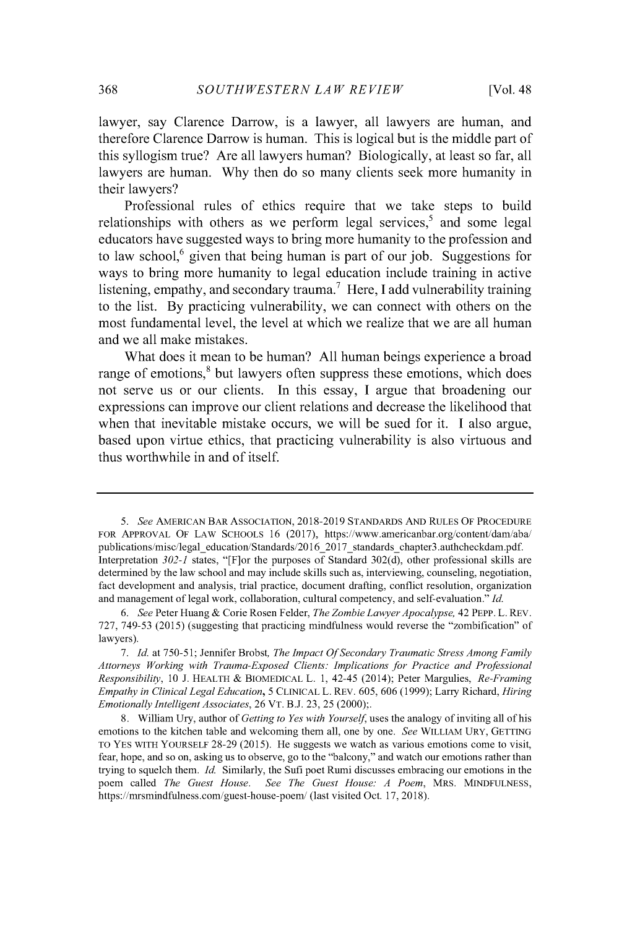lawyer, say Clarence Darrow, is a lawyer, all lawyers are human, and therefore Clarence Darrow is human. This is logical but is the middle part of this syllogism true? Are all lawyers human? Biologically, at least so far, all lawyers are human. **Why** then do so many clients seek more humanity in their lawyers?

Professional rules of ethics require that we take steps to build relationships with others as we perform legal services, $<sup>5</sup>$  and some legal</sup> educators have suggested ways to bring more humanity to the profession and to law school,<sup>6</sup> given that being human is part of our job. Suggestions for ways to bring more humanity to legal education include training in active listening, empathy, and secondary trauma.<sup>7</sup> Here, I add vulnerability training to the list. **By** practicing vulnerability, we can connect with others on the most fundamental level, the level at which we realize that we are all human and we all make mistakes.

What does it mean to be human? **All** human beings experience a broad range of emotions,<sup>8</sup> but lawyers often suppress these emotions, which does not serve us or our clients. In this essay, **I** argue that broadening our expressions can improve our client relations and decrease the likelihood that when that inevitable mistake occurs, we will be sued for it. **I** also argue, based upon virtue ethics, that practicing vulnerability is also virtuous and thus worthwhile in and of itself.

*<sup>5.</sup> See* **AMERICAN** BAR ASSOCIATION, **2018-2019** STANDARDS **AND RULES** OF PROCEDURE FOR APPROVAL OF LAW **SCHOOLS 16 (2017),** https://www.americanbar.org/content/dam/aba/ publications/misc/legal education/Standards/2016\_2017\_standards\_chapter3.authcheckdam.pdf. Interpretation *302-1* states, "[F]or the purposes of Standard **302(d),** other professional skills are determined **by** the law school and may include skills such as, interviewing, counseling, negotiation, fact development and analysis, trial practice, document drafting, conflict resolution, organization and management of legal work, collaboration, cultural competency, and self-evaluation." *Id.*

*<sup>6.</sup> See* Peter Huang **&** Corie Rosen Felder, *The Zombie Lawyer Apocalypse,* 42 PEPP. L. REV. **727,** *749-53* **(2015)** (suggesting that practicing mindfulness would reverse the "zombification" of lawyers).

**<sup>7.</sup>** *Id.* at **750-51;** Jennifer Brobst, *The Impact Of Secondary Traumatic Stress Among Family Attorneys Working with Trauma-Exposed Clients: Implications for Practice and Professional Responsibility, 10* **J.** HEALTH *&* BIOMEDICAL L. **1,** 42-45 (2014); Peter Margulies, *Re-Framing Empathy in Clinical Legal Education, 5* **CLINICAL** L. REV. **605, 606 (1999);** Larry Richard, *Hiring Emotionally Intelligent Associates,* **26** VT. **B.J. 23, 25** (2000);.

**<sup>8.</sup>** William Ury, author of *Getting to Yes with Yourself* uses the analogy of inviting all of his emotions to the kitchen table and welcoming them all, one **by** one. *See* WILLIAM URY, **GETTING** TO YES WITH YOURSELF **28-29 (2015).** He suggests we watch as various emotions come to visit, fear, hope, and so on, asking us to observe, go to the "balcony," and watch our emotions rather than trying to squelch them. *Id* Similarly, the Sufi poet Rumi discusses embracing our emotions in the poem called *The Guest House. See The Guest House: A Poem,* MRS. **MINDFULNESS,** https://mrsmindfulness.com/guest-house-poem/ (last visited Oct. **17, 2018).**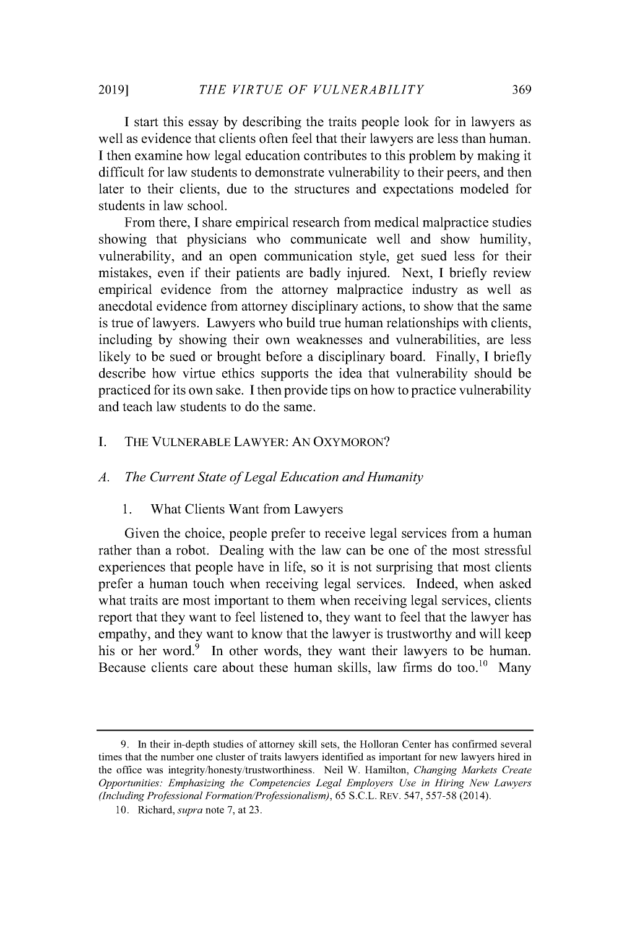**I** start this essay **by** describing the traits people look for in lawyers as well as evidence that clients often feel that their lawyers are less than human. **I** then examine how legal education contributes to this problem **by** making it difficult for law students to demonstrate vulnerability to their peers, and then later to their clients, due to the structures and expectations modeled for students in law school.

From there, **I** share empirical research from medical malpractice studies showing that physicians who communicate well and show humility, vulnerability, and an open communication style, get sued less for their mistakes, even if their patients are badly injured. Next, **I** briefly review empirical evidence from the attorney malpractice industry as well as anecdotal evidence from attorney disciplinary actions, to show that the same is true of lawyers. Lawyers who build true human relationships with clients, including **by** showing their own weaknesses and vulnerabilities, are less likely to be sued or brought before a disciplinary board. Finally, **I** briefly describe how virtue ethics supports the idea that vulnerability should be practiced for its own sake. **I** then provide tips on how to practice vulnerability and teach law students to do the same.

#### **I.** THE **VULNERABLE LAWYER: AN OXYMORON?**

#### *A. The Current State ofLegal Education and Humanity*

#### **1.** What Clients Want from Lawyers

Given the choice, people prefer to receive legal services from a human rather than a robot. Dealing with the law can be one of the most stressful experiences that people have in life, so it is not surprising that most clients prefer a human touch when receiving legal services. Indeed, when asked what traits are most important to them when receiving legal services, clients report that they want to feel listened to, they want to feel that the lawyer has empathy, and they want to know that the lawyer is trustworthy and will keep his or her word.<sup>9</sup> In other words, they want their lawyers to be human. Because clients care about these human skills, law firms do too.<sup>10</sup> Many

**<sup>9.</sup> In their in-depth studies of attorney skill sets, the Holloran Center has confirmed several times that the number one cluster of traits lawyers identified as important for new lawyers hired in the office was integrity/honesty/trustworthiness. Neil W. Hamilton,** *Changing Markets Create Opportunities: Emphasizing the Competencies Legal Employers Use in Hiring New Lawyers (Including Professional Formation/Professionalism), 65* **S.C.L. REV.** *547, 557-58* **(2014).**

**<sup>10.</sup>** Richard, *supra* **note 7, at 23.**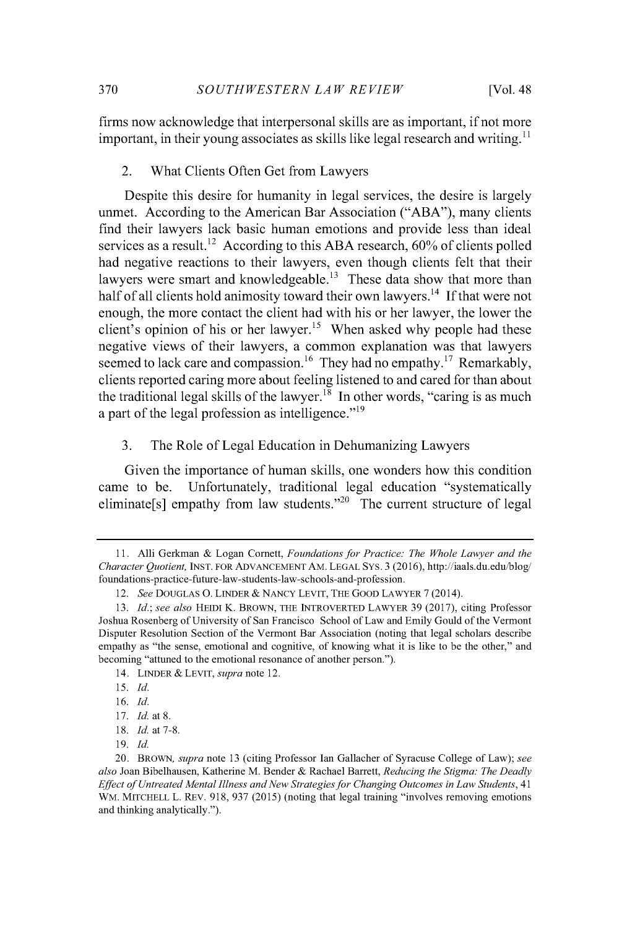firms now acknowledge that interpersonal skills are as important, if not more important, in their young associates as skills like legal research and writing.<sup>11</sup>

#### 2. What Clients Often Get from Lawyers

Despite this desire for humanity in legal services, the desire is largely unmet. According to the American Bar Association **("ABA"),** many clients find their lawyers lack basic human emotions and provide less than ideal services as a result.<sup>12</sup> According to this ABA research,  $60\%$  of clients polled had negative reactions to their lawyers, even though clients felt that their lawyers were smart and knowledgeable.<sup>13</sup> These data show that more than half of all clients hold animosity toward their own lawyers.<sup>14</sup> If that were not enough, the more contact the client had with his or her lawyer, the lower the client's opinion of his or her lawyer.<sup>15</sup> When asked why people had these negative views of their lawyers, a common explanation was that lawyers seemed to lack care and compassion.<sup>16</sup> They had no empathy.<sup>17</sup> Remarkably, clients reported caring more about feeling listened to and cared for than about the traditional legal skills of the lawyer.<sup>18</sup> In other words, "caring is as much a part of the legal profession as intelligence."<sup>19</sup>

**3.** The Role of Legal Education in Dehumanizing Lawyers

Given the importance of human skills, one wonders how this condition came to be. Unfortunately, traditional legal education "systematically eliminate<sup>[s]</sup> empathy from law students."<sup>20</sup> The current structure of legal

**<sup>11.</sup>** Alli Gerkman **&** Logan Cornett, *Foundations for Practice: The Whole Lawyer and the Character Quotient,* **INST. FOR ADVANCEMENT AM. LEGAL SYs. 3 (2016),** http://iaals.du.edu/blog/ foundations-practice-future-law-students-law-schools-and-profession.

*<sup>12.</sup> See* **DOUGLAS 0. LINDER** *&* **NANCY LEVIT, THE GOOD LAWYER 7** (2014).

*<sup>13.</sup> Id.; see also* **HEIDI K. BROWN, THE INTROVERTED LAWYER 39 (2017),** citing Professor Joshua Rosenberg of University of San Francisco School of Law and Emily Gould of the Vermont Disputer Resolution Section of the Vermont Bar Association (noting that legal scholars describe empathy as "the sense, emotional and cognitive, of knowing what it is like to be the other," and becoming "attuned to the emotional resonance of another person.").

<sup>14.</sup> **LINDER** *&* **LEVIT,** *supra* note 12.

*<sup>15.</sup> Id.*

**<sup>16.</sup>** *Id.*

**<sup>17.</sup>** *Id.* at **8.**

**<sup>18.</sup>** *Id.* at **7-8.**

**<sup>19.</sup>** *Id.*

<sup>20.</sup> **BROWN,** *supra* note **13** (citing Professor Ian Gallacher of Syracuse College of Law); *see also* Joan Bibelhausen, Katherine M. Bender **&** Rachael Barrett, *Reducing the Stigma: The Deadly Effect of Untreated Mental Illness and New Strategies for Changing Outcomes in Law Students, 41* WM. **MITCHELL L. REV. 918, 937 (2015)** (noting that legal training "involves removing emotions and thinking analytically.").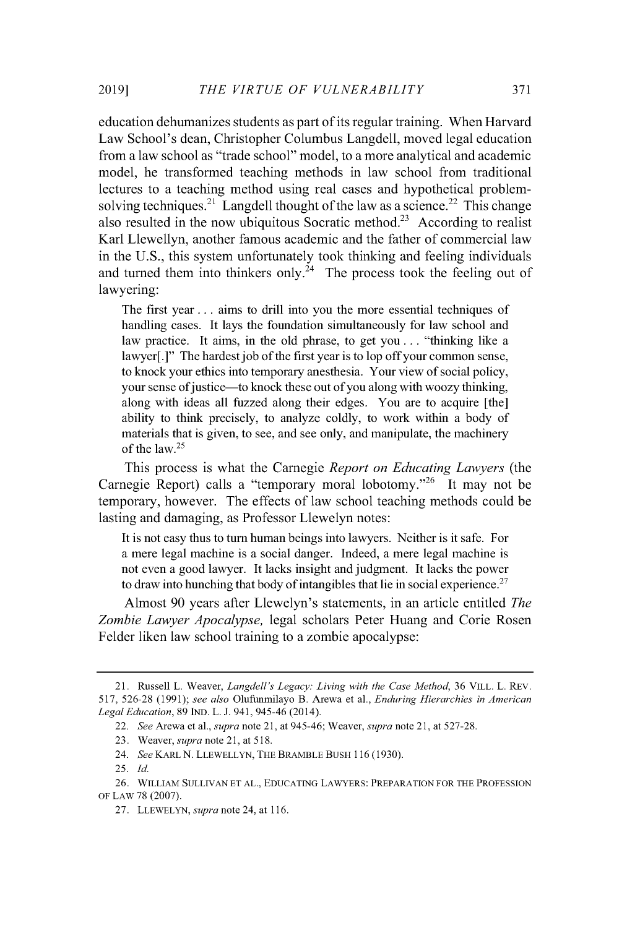education dehumanizes students as part of its regular training. When Harvard Law School's dean, Christopher Columbus Langdell, moved legal education from a law school as "trade school" model, to a more analytical and academic model, he transformed teaching methods in law school from traditional lectures to a teaching method using real cases and hypothetical problemsolving techniques.<sup>21</sup> Langdell thought of the law as a science.<sup>22</sup> This change also resulted in the now ubiquitous Socratic method.<sup>23</sup> According to realist Karl Llewellyn, another famous academic and the father of commercial law in the **U.S.,** this system unfortunately took thinking and feeling individuals and turned them into thinkers only.<sup> $24$ </sup> The process took the feeling out of lawyering:

The first year **. ..** aims to drill into you the more essential techniques of handling cases. It lays the foundation simultaneously for law school and law practice. It aims, in the old phrase, to get you. **. .** "thinking like a lawyer[.]" The hardest job of the first year is to lop off your common sense, to knock your ethics into temporary anesthesia. Your view of social policy, your sense of justice—to knock these out of you along with woozy thinking, along with ideas all fuzzed along their edges. You are to acquire [the] ability to think precisely, to analyze coldly, to work within a body of materials that is given, to see, and see only, and manipulate, the machinery of the law. <sup>2</sup><sup>5</sup>

This process is what the Carnegie *Report on Educating Lawyers (the* Carnegie Report) calls a "temporary moral lobotomy." 26 It may not be temporary, however. The effects of law school teaching methods could be lasting and damaging, as Professor Llewelyn notes:

It is not easy thus to turn human beings into lawyers. Neither is it safe. For a mere legal machine is a social danger. Indeed, a mere legal machine is not even a good lawyer. It lacks insight and judgment. It lacks the power to draw into hunching that body of intangibles that lie in social experience.<sup>27</sup>

Almost **90** years after Llewelyn's statements, in an article entitled *The Zombie Lawyer Apocalypse,* legal scholars Peter Huang and Corie Rosen Felder liken law school training to a zombie apocalypse:

<sup>21.</sup> Russell L. Weaver, *Langdell's Legacy: Living with the Case Method,* **36 VILL.** L. REV. *517,* **526-28 (1991);** *see also* Olufimmilayo B. Arewa et al., *Enduring Hierarchies in American Legal Education,* **89 IND.** L. **J.** 941, *945-46* (2014).

<sup>22.</sup> *See* Arewa et al., *supra* note **21,** at *945-46;* Weaver, *supra* note **21,** at **527-28.**

**<sup>23.</sup>** Weaver, *supra* note **21,** at **518.**

<sup>24.</sup> *See* KARL **N.** LLEWELLYN, THE BRAMBLE BUSH 116(1930).

**<sup>25.</sup>** *Id.*

**<sup>26.</sup>** WILLIAM **SULLIVAN ET AL., EDUCATING** LAWYERS: PREPARATION FOR THE **PROFESSION** OF LAW **78 (2007).**

**<sup>27.</sup>** LLEWELYN, *supra* note 24, at **116.**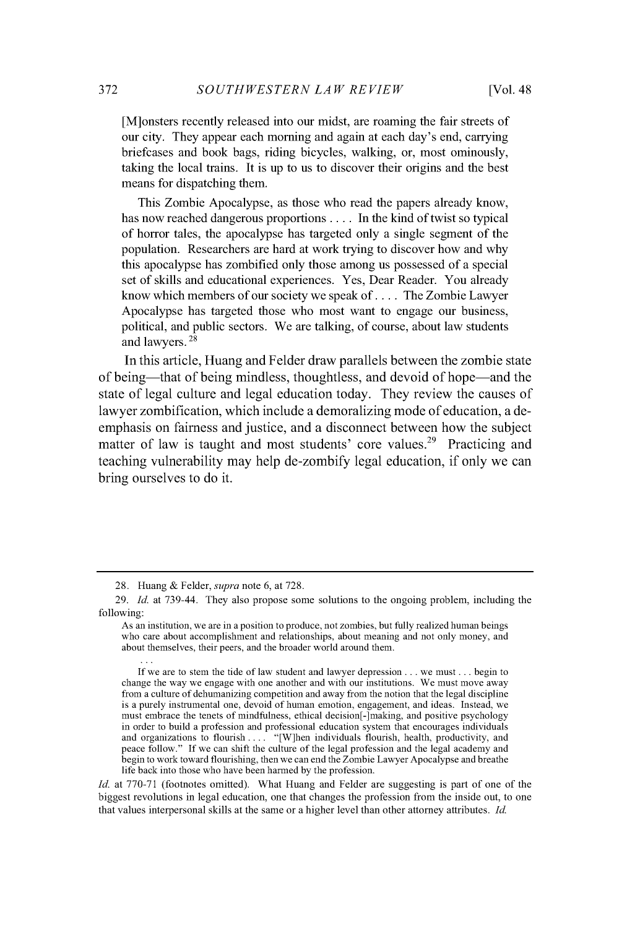[M]onsters recently released into our midst, are roaming the fair streets of our city. They appear each morning and again at each day's end, carrying briefcases and book bags, riding bicycles, walking, or, most ominously, taking the local trains. It is up to us to discover their origins and the best means for dispatching them.

This Zombie Apocalypse, as those who read the papers already know, has now reached dangerous proportions **....** In the kind of twist so typical of horror tales, the apocalypse has targeted only a single segment of the population. Researchers are hard at work trying to discover how and why this apocalypse has zombified only those among us possessed of a special set of skills and educational experiences. Yes, Dear Reader. You already know which members of our society we speak **of....** The Zombie Lawyer Apocalypse has targeted those who most want to engage our business, political, and public sectors. We are talking, of course, about law students and lawyers.<sup>28</sup>

In this article, Huang and Felder draw parallels between the zombie state of being-that of being mindless, thoughtless, and devoid of hope-and the state of legal culture and legal education today. They review the causes of lawyer zombification, which include a demoralizing mode of education, a deemphasis on fairness and justice, and a disconnect between how the subject matter of law is taught and most students' core values.<sup>29</sup> Practicing and teaching vulnerability may help de-zombify legal education, if only we can bring ourselves to do it.

*Id.* at **770-71** (footnotes omitted). What Huang and Felder are suggesting is part of one of the biggest revolutions in legal education, one that changes the profession from the inside out, to one that values interpersonal skills at the same or a higher level than other attorney attributes. *Id*

**<sup>28.</sup>** Huang **&** *Felder, supra* note **6,** at **728.**

**<sup>29.</sup>** *Id.* at 739-44. They also propose some solutions to the ongoing problem, including the following:

As an institution, we are in a position to produce, not zombies, but fully realized human beings who care about accomplishment and relationships, about meaning and not only money, and about themselves, their peers, and the broader world around them.

**If** we are to stem the tide of law student and lawyer depression **...** we must **...** begin to change the way we engage with one another and with our institutions. We must move away from a culture of dehumanizing competition and away from the notion that the legal discipline is a purely instrumental one, devoid of human emotion, engagement, and ideas. Instead, we must embrace the tenets of mindfulness, ethical decision[-] making, and positive psychology in order to build a profession and professional education system that encourages individuals and organizations to flourish.. **..** "[W]hen individuals flourish, health, productivity, and peace follow." **If** we can shift the culture of the legal profession and the legal academy and begin to work toward flourishing, then we can end the Zombie Lawyer Apocalypse and breathe life back into those who have been harmed **by** the profession.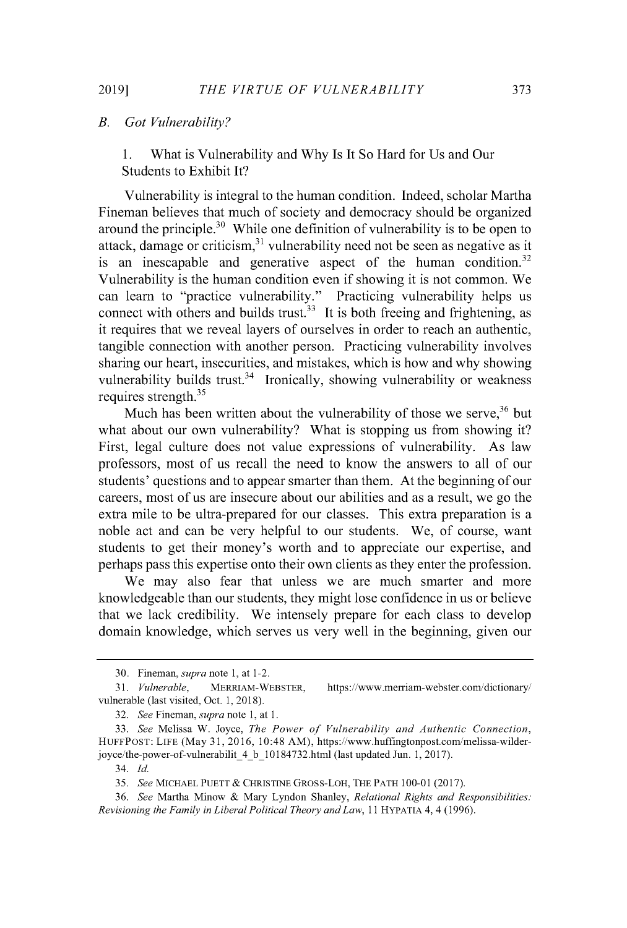#### *B. Got Vulnerability?*

**1.** What is Vulnerability and **Why** Is It So Hard for Us and Our Students to Exhibit It?

Vulnerability is integral to the human condition. Indeed, scholar Martha Fineman believes that much of society and democracy should be organized around the principle. $^{30}$  While one definition of vulnerability is to be open to attack, damage or criticism, $^{31}$  vulnerability need not be seen as negative as it is an inescapable and generative aspect of the human condition.<sup>32</sup> Vulnerability is the human condition even if showing it is not common. We can learn to "practice vulnerability." Practicing vulnerability helps us connect with others and builds trust.<sup>33</sup> It is both freeing and frightening, as it requires that we reveal layers of ourselves in order to reach an authentic, tangible connection with another person. Practicing vulnerability involves sharing our heart, insecurities, and mistakes, which is how and why showing vulnerability builds trust.<sup>34</sup> Ironically, showing vulnerability or weakness requires strength. $35$ 

Much has been written about the vulnerability of those we serve,  $36$  but what about our own vulnerability? What is stopping us from showing it? First, legal culture does not value expressions of vulnerability. As law professors, most of us recall the need to know the answers to all of our students' questions and to appear smarter than them. At the beginning of our careers, most of us are insecure about our abilities and as a result, we go the extra mile to be ultra-prepared for our classes. This extra preparation is a noble act and can be very helpful to our students. We, of course, want students to get their money's worth and to appreciate our expertise, and perhaps pass this expertise onto their own clients as they enter the profession.

We may also fear that unless we are much smarter and more knowledgeable than our students, they might lose confidence in us or believe that we lack credibility. We intensely prepare for each class to develop domain knowledge, which serves us very well in the beginning, given our

**<sup>30.</sup>** Fineman, *supra note* **1,** at 1-2.

**<sup>31.</sup>** *Vulnerable,* **MERRIAM-WEBSTER,** https://www.merriam-webster.com/dictionary/ vulnerable (last visited, Oct. **1, 2018).**

*<sup>32.</sup> See Fineman, supra note* **1,** at **1.**

*<sup>33.</sup> See* Melissa W. Joyce, *The Power of Vulnerability and Authentic Connection,* **HUFFPoST: LIFE** (May **31, 2016,** 10:48 AM), https://www.huffingtonpost.com/melissa-wilderjoyce/the-power-of-vulnerabilit\_4\_b\_10184732.html (last updated Jun. **1, 2017).**

**<sup>34.</sup>** *Id.*

*<sup>35.</sup> See* **MICHAEL PUETT & CHRISTINE GROSS-LOH, THE PATH 100-0 1 (2017).**

*<sup>36.</sup> See* Martha Minow **&** Mary Lyndon Shanley, *Relational Rights and Responsibilities: Revisioning the Family in Liberal Political Theory and Law,* 11 **HYPATIA** 4, 4 **(1996).**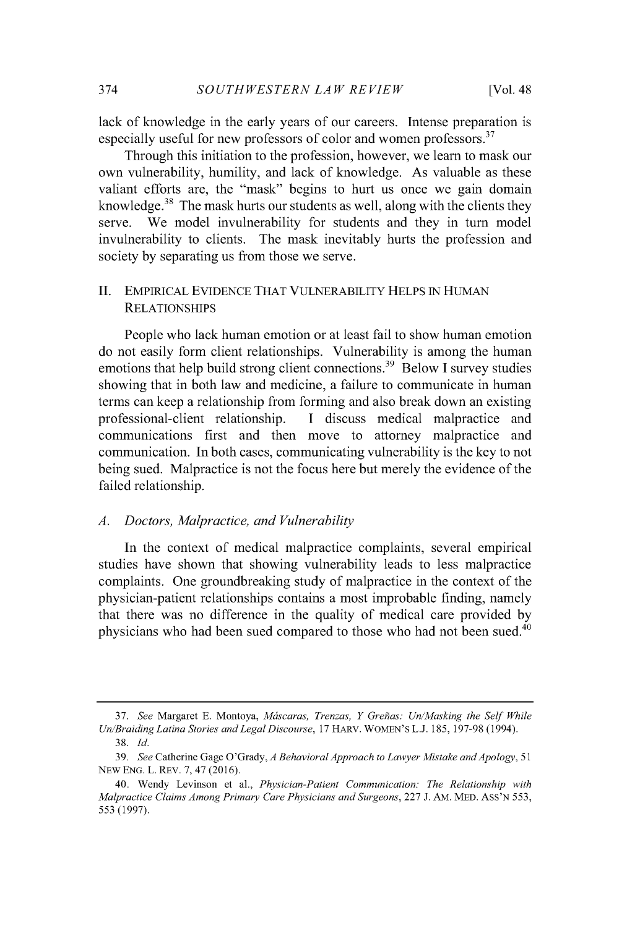lack of knowledge in the early years of our careers. Intense preparation is especially useful for new professors of color and women professors.<sup>37</sup>

Through this initiation to the profession, however, we learn to mask our own vulnerability, humility, and lack of knowledge. As valuable as these valiant efforts are, the "mask" begins to hurt us once we gain domain knowledge. $38$  The mask hurts our students as well, along with the clients they serve. We model invulnerability for students and they in turn model invulnerability to clients. The mask inevitably hurts the profession and society **by** separating us from those we serve.

#### **II.** EMPIRICAL **EVIDENCE THAT** VULNERABILITY **HELPS** IN HUMAN **RELATIONSHIPS**

People who lack human emotion or at least fail to show human emotion do not easily form client relationships. Vulnerability is among the human emotions that help build strong client connections.<sup>39</sup> Below I survey studies showing that in both law and medicine, a failure to communicate in human terms can keep a relationship from forming and also break down an existing professional-client relationship. **I** discuss medical malpractice and communications first and then move to attorney malpractice and communication. In both cases, communicating vulnerability is the key to not being sued. Malpractice is not the focus here but merely the evidence of the failed relationship.

#### *A. Doctors, Malpractice, and Vulnerability*

In the context of medical malpractice complaints, several empirical studies have shown that showing vulnerability leads to less malpractice complaints. One groundbreaking study of malpractice in the context of the physician-patient relationships contains a most improbable finding, namely that there was no difference in the quality of medical care provided **by** physicians who had been sued compared to those who had not been sued.<sup>40</sup>

*<sup>37.</sup> See* Margaret **E.** Montoya, *Mascaras, Trenzas, Y Greihas: Un/Masking the Self While Un/Braiding Latina Stories and Legal Discourse,* **17** HARV. WOMEN'S **L.J. 185, 197-98** (1994).

**<sup>38.</sup>** *Id.*

*<sup>39.</sup> See* Catherine Gage O'Grady, *A Behavioral Approach to Lawyer Mistake and Apology, 51* NEW **ENG.** L. REV. **7,** 47 **(2016).**

<sup>40.</sup> Wendy Levinson et al., *Physician-Patient Communication: The Relationship with Malpractice Claims Among Primary Care Physicians and Surgeons,* **227 J.** AM. MED. Ass'N *553, 553* **(1997).**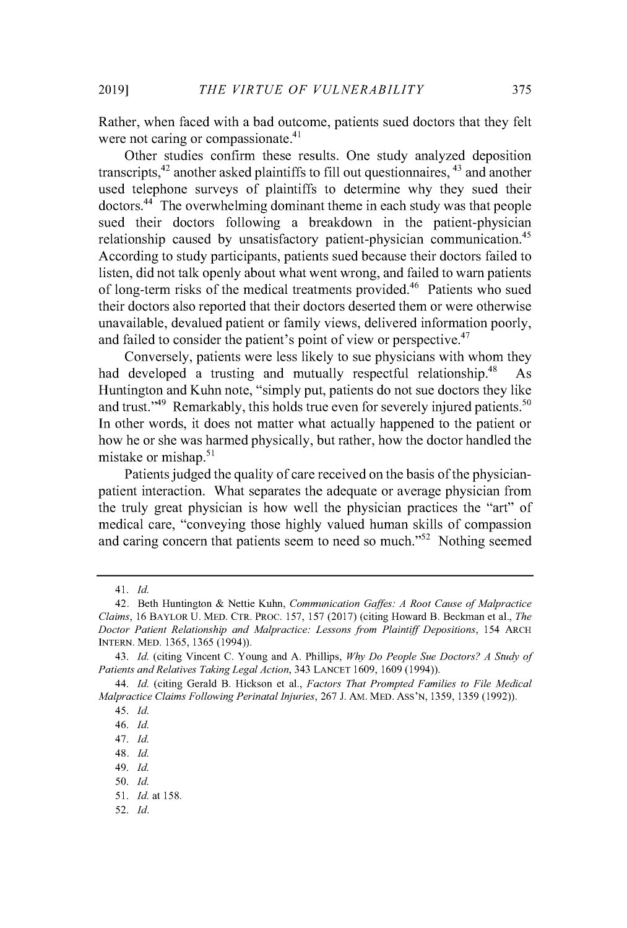Rather, when faced with a bad outcome, patients sued doctors that they felt were not caring or compassionate.<sup>41</sup>

Other studies confirm these results. One study analyzed deposition transcripts,42 another asked plaintiffs to fill out questionnaires, 43 and another used telephone surveys of plaintiffs to determine why they sued their  $dotors.<sup>44</sup>$  The overwhelming dominant theme in each study was that people sued their doctors following a breakdown in the patient-physician relationship caused by unsatisfactory patient-physician communication.<sup>45</sup> According to study participants, patients sued because their doctors failed to listen, did not talk openly about what went wrong, and failed to warn patients of long-term risks of the medical treatments provided.<sup>46</sup> Patients who sued their doctors also reported that their doctors deserted them or were otherwise unavailable, devalued patient or family views, delivered information poorly, and failed to consider the patient's point of view or perspective.  $47$ 

Conversely, patients were less likely to sue physicians with whom they had developed a trusting and mutually respectful relationship.<sup>48</sup> As Huntington and Kuhn note, "simply put, patients do not sue doctors they like and trust." $49$  Remarkably, this holds true even for severely injured patients. $50$ In other words, it does not matter what actually happened to the patient or how he or she was harmed physically, but rather, how the doctor handled the mistake or mishap. $51$ 

Patients judged the quality of care received on the basis of the physicianpatient interaction. What separates the adequate or average physician from the truly great physician is how well the physician practices the "art" of medical care, "conveying those **highly** valued human skills of compassion and caring concern that patients seem to need so much."<sup>52</sup> Nothing seemed

<sup>4</sup> *1. Id.*

<sup>42.</sup> Beth Huntington **&** Nettie Kuhn, *Communication Gaffes: A Root Cause of Malpractice Claims,* **16** BAYLOR **U. MED. CTR. PROC. 157, 157 (2017)** (citing Howard B. Beckman et al., *The Doctor Patient Relationship and Malpractice: Lessons from Plaintiff Depositions,* **154 ARCH INTERN. MED. 1365, 1365** (1994)).

<sup>43.</sup> *Id.* (citing Vincent **C.** Young and **A.** Phillips, *Why Do People Sue Doctors? A Study of Patients and Relatives Taking Legal Action,* 343 **LANCET 1609, 1609** (1994)).

<sup>44.</sup> *Id.* (citing Gerald B. Hickson et al., *Factors That Prompted Families to File Medical Malpractice Claims Following Perinatal Injuries,* **267 J. AM.** MED. **Ass'N, 1359, 1359 (1992)).**

<sup>45.</sup> *Id.*

<sup>46.</sup> *Id.*

<sup>47.</sup> *Id.*

<sup>48.</sup> *Id.*

<sup>49.</sup> *Id.*

*<sup>50.</sup> Id.*

*<sup>51.</sup> Id.* at **158.**

**<sup>52.</sup>** *Id.*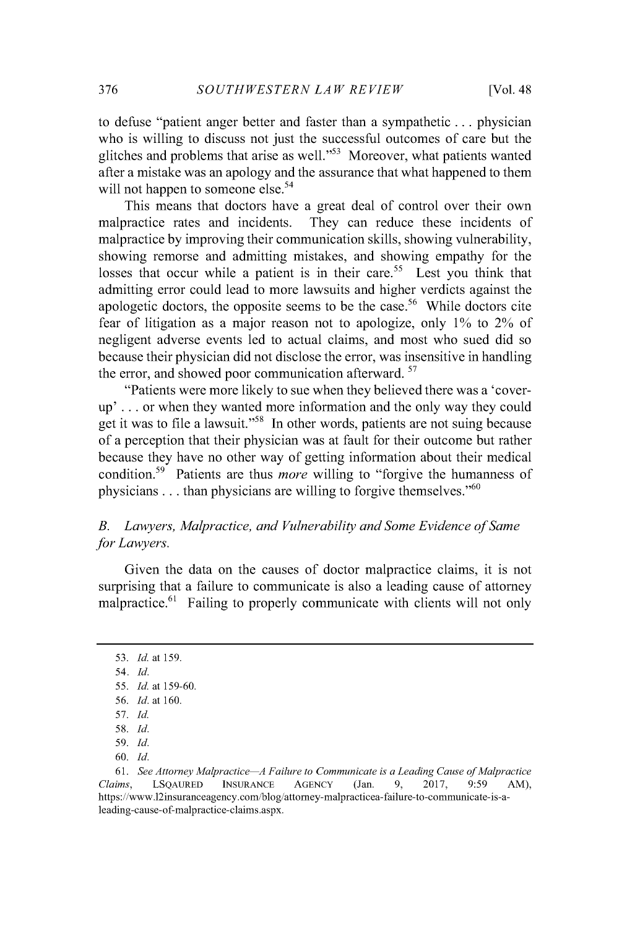to defuse "patient anger better and faster than a sympathetic **.** . **.** physician who is willing to discuss not just the successful outcomes of care but the glitches and problems that arise as well."<sup>53</sup> Moreover, what patients wanted after a mistake was an apology and the assurance that what happened to them will not happen to someone else.<sup>54</sup>

This means that doctors have a great deal of control over their own malpractice rates and incidents. They can reduce these incidents of malpractice **by** improving their communication skills, showing vulnerability, showing remorse and admitting mistakes, and showing empathy for the losses that occur while a patient is in their care.<sup>55</sup> Lest you think that admitting error could lead to more lawsuits and higher verdicts against the apologetic doctors, the opposite seems to be the case.<sup>56</sup> While doctors cite fear of litigation as a major reason not to apologize, only **1%** to 2% of negligent adverse events led to actual claims, and most who sued did so because their physician did not disclose the error, was insensitive in handling the error, and showed poor communication afterward. <sup>57</sup>

"Patients were more likely to sue when they believed there was a 'coverup' **. . .** or when they wanted more information and the only way they could get it was to file a lawsuit."<sup>58</sup> In other words, patients are not suing because of a perception that their physician was at fault for their outcome but rather because they have no other way of getting information about their medical condition.<sup>59</sup> Patients are thus *more* willing to "forgive the humanness of physicians . . . than physicians are willing to forgive themselves."<sup>60</sup>

### *B. Lawyers, Malpractice, and Vulnerability and Some Evidence of Same for Lawyers.*

Given the data on the causes of doctor malpractice claims, it is not surprising that a failure to communicate is also a leading cause of attorney malpractice.<sup>61</sup> Failing to properly communicate with clients will not only

*<sup>53.</sup> Id. at* **159.**

*<sup>54.</sup> Id.*

*<sup>55.</sup> Id. at* **159-60.**

*<sup>56.</sup> Id. at* **160.**

*<sup>57.</sup> Id.*

*<sup>58.</sup> Id.*

*<sup>59.</sup> Id.*

**<sup>60.</sup>** *Id.*

**<sup>61.</sup>** *See Attorney Malpractice A Failure to Communicate is a Leading Cause ofMalpractice Claims,* **LSQAURED INSURANCE AGENCY** (Jan. **9, 2017,** *9:59* AM), https://www.12insuranceagency.com/blog/attorney-malpracticea-failure-to-communicate-is-aleading-cause-of-malpractice-claims.aspx.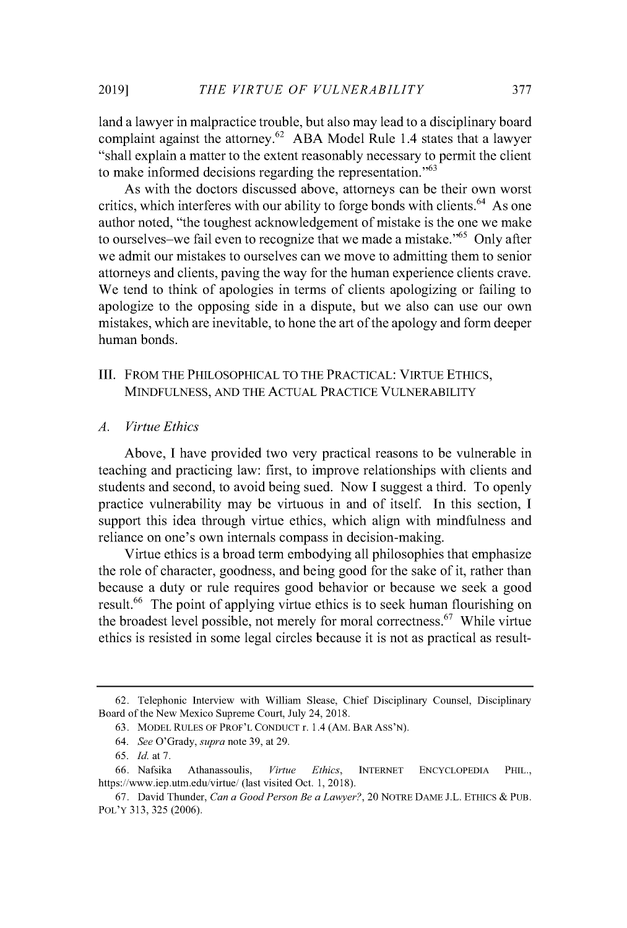land a lawyer in malpractice trouble, but also may lead to a disciplinary board complaint against the attorney.<sup>62</sup> ABA Model Rule 1.4 states that a lawyer "shall explain a matter to the extent reasonably necessary to permit the client to make informed decisions regarding the representation."<sup>63</sup>

As with the doctors discussed above, attorneys can be their own worst critics, which interferes with our ability to forge bonds with clients.  $64$  As one author noted, "the toughest acknowledgement of mistake is the one we make to ourselves-we fail even to recognize that we made a mistake.<sup> $5$ </sup> Only after we admit our mistakes to ourselves can we move to admitting them to senior attorneys and clients, paving the way for the human experience clients crave. We tend to think of apologies in terms of clients apologizing or failing to apologize to the opposing side in a dispute, but we also can use our own mistakes, which are inevitable, to hone the art of the apology and form deeper human bonds.

#### **III. FROM THE PHILOSOPHICAL TO THE PRACTICAL: VIRTUE ETHICS, MINDFULNESS, AND THE ACTUAL PRACTICE VULNERABILITY**

#### *A. Virtue Ethics*

Above, **I** have provided two very practical reasons to be vulnerable in teaching and practicing law: first, to improve relationships with clients and students and second, to avoid being sued. Now **I** suggest a third. To openly practice vulnerability may be virtuous in and of itself. In this section, **I** support this idea through virtue ethics, which align with mindfulness and reliance on one's own internals compass in decision-making.

Virtue ethics is a broad term embodying all philosophies that emphasize the role of character, goodness, and being good for the sake of it, rather than because a duty or rule requires good behavior or because we seek a good result.<sup>66</sup> The point of applying virtue ethics is to seek human flourishing on the broadest level possible, not merely for moral correctness.<sup>67</sup> While virtue ethics is resisted in some legal circles because it is not as practical as result-

**<sup>62.</sup>** Telephonic Interview with William Slease, Chief Disciplinary Counsel, Disciplinary Board of the New Mexico Supreme Court, July 24, **2018.**

**<sup>63.</sup> MODEL RULES OF PROF'L CONDUCT** r. 1.4 (AM. BAR Ass'N).

*<sup>64.</sup> See O'Grady, supra* note **39,** at **29.**

*<sup>65.</sup> Id.* at **7.**

*<sup>66.</sup>* Nafsika Athanassoulis, *Virtue Ethics,* **INTERNET ENCYCLOPEDIA PHIL.,** https://www.iep.utm.edu/virtue/ (last visited Oct. **1, 2018).**

**<sup>67.</sup>** David Thunder, *Can a Good Person Be a Lawyer?,* 20 NOTRE **DAME J.L. ETHICS** *&* **PUB. POL'Y 313,** *325* **(2006).**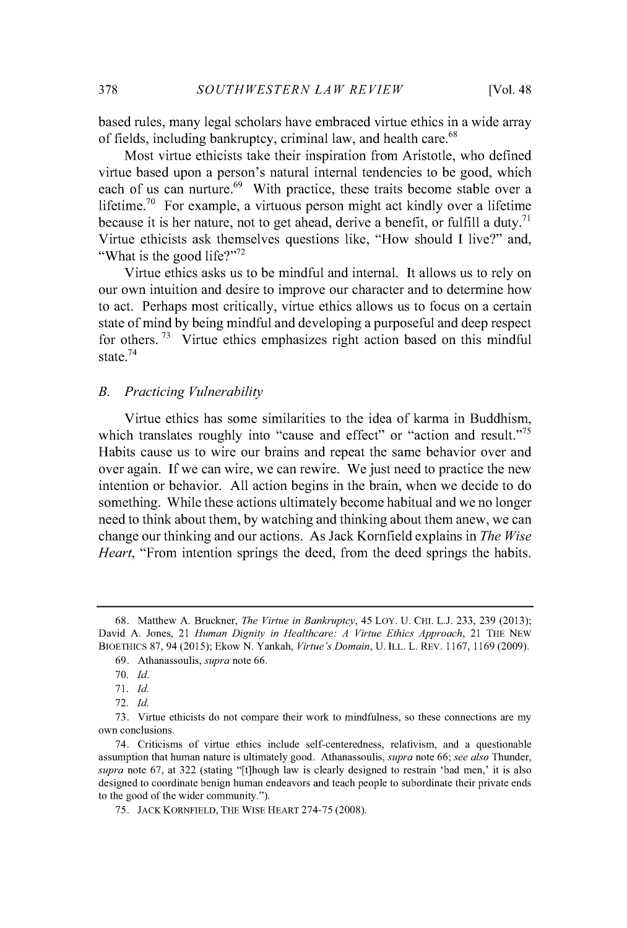based rules, many legal scholars have embraced virtue ethics in a wide array of fields, including bankruptcy, criminal law, and health care.<sup>68</sup>

Most virtue ethicists take their inspiration from Aristotle, who defined virtue based upon a person's natural internal tendencies to be good, which each of us can nurture.<sup>69</sup> With practice, these traits become stable over a lifetime.<sup>70</sup> For example, a virtuous person might act kindly over a lifetime because it is her nature, not to get ahead, derive a benefit, or fulfill a duty.<sup>71</sup> Virtue ethicists ask themselves questions like, "How should **I** live?" and, "What is the good life?" $^{72}$ 

Virtue ethics asks us to be mindful and internal. It allows us to rely on our own intuition and desire to improve our character and to determine how to act. Perhaps most critically, virtue ethics allows us to focus on a certain state of mind **by** being mindful and developing a purposeful and deep respect for others.  $73$  Virtue ethics emphasizes right action based on this mindful state.<sup>74</sup>

#### *B. Practicing Vulnerability*

Virtue ethics has some similarities to the idea of karma in Buddhism, which translates roughly into "cause and effect" or "action and result."<sup>75</sup> Habits cause us to wire our brains and repeat the same behavior over and over again. **If** we can wire, we can rewire. We just need to practice the new intention or behavior. **All** action begins in the brain, when we decide to do something. While these actions ultimately become habitual and we no longer need to think about them, **by** watching and thinking about them anew, we can change our thinking and our actions. As Jack Kornfield explains in *The Wise Heart*, "From intention springs the deed, from the deed springs the habits.

**<sup>68.</sup>** Matthew **A.** Bruckner, *The Virtue in Bankruptcy, 45* LoY. **U. CHI. L.J. 233, 239 (2013);** David **A.** Jones, 21 *Human Dignity in Healthcare: A Virtue Ethics Approach,* 21 THE **NEW BIOETHICS 87,** 94 **(2015);** Ekow **N.** Yankah, *Virtue's Domain,* **U.** ILL. L. REV. **1167, 1169 (2009).**

**<sup>69.</sup>** Athanassoulis, *supra* note **66.**

**<sup>70.</sup>** *Id.*

**<sup>71.</sup>** *Id.*

**<sup>72.</sup>** *Id.*

**<sup>73.</sup>** Virtue ethicists do not compare their work to mindfulness, so these connections are my own conclusions.

<sup>74.</sup> Criticisms of virtue ethics include self-centeredness, relativism, and a questionable assumption that human nature is ultimately good. Athanassoulis, *supra* note **66;** *see also* Thunder, *supra* note **67,** at **322** (stating "[t]hough law is clearly designed to restrain 'bad men,' it is also designed to coordinate benign human endeavors and teach people to subordinate their private ends to the good of the wider community.").

**<sup>75.</sup> JACK KORNFIELD, THE WISE HEART 274-75 (2008).**